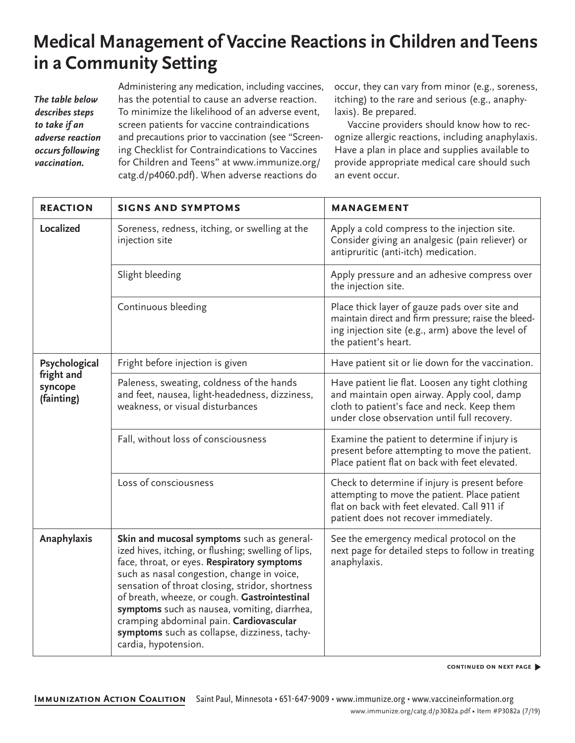# **Medical Management of Vaccine Reactions in Children andTeens in a Community Setting**

*The table below describes steps to take if an adverse reaction occurs following vaccination.*

Administering any medication, including vaccines, has the potential to cause an adverse reaction. To minimize the likelihood of an adverse event, screen patients for vaccine contraindications and precautions prior to vaccination (see "Screening Checklist for Contraindications to Vaccines for Children and Teens" at www.immunize.org/ catg.d/p4060.pdf). When adverse reactions do

occur, they can vary from minor (e.g., soreness, itching) to the rare and serious (e.g., anaphylaxis). Be prepared.

Vaccine providers should know how to recognize allergic reactions, including anaphylaxis. Have a plan in place and supplies available to provide appropriate medical care should such an event occur.

| <b>REACTION</b>                     | <b>SIGNS AND SYMPTOMS</b>                                                                                                                                                                                                                                                                                                                                                                                                                                             | <b>MANAGEMENT</b>                                                                                                                                                                             |  |  |
|-------------------------------------|-----------------------------------------------------------------------------------------------------------------------------------------------------------------------------------------------------------------------------------------------------------------------------------------------------------------------------------------------------------------------------------------------------------------------------------------------------------------------|-----------------------------------------------------------------------------------------------------------------------------------------------------------------------------------------------|--|--|
| Localized                           | Soreness, redness, itching, or swelling at the<br>injection site                                                                                                                                                                                                                                                                                                                                                                                                      | Apply a cold compress to the injection site.<br>Consider giving an analgesic (pain reliever) or<br>antipruritic (anti-itch) medication.                                                       |  |  |
|                                     | Slight bleeding                                                                                                                                                                                                                                                                                                                                                                                                                                                       | Apply pressure and an adhesive compress over<br>the injection site.                                                                                                                           |  |  |
|                                     | Continuous bleeding                                                                                                                                                                                                                                                                                                                                                                                                                                                   | Place thick layer of gauze pads over site and<br>maintain direct and firm pressure; raise the bleed-<br>ing injection site (e.g., arm) above the level of<br>the patient's heart.             |  |  |
| Psychological                       | Fright before injection is given                                                                                                                                                                                                                                                                                                                                                                                                                                      | Have patient sit or lie down for the vaccination.                                                                                                                                             |  |  |
| fright and<br>syncope<br>(fainting) | Paleness, sweating, coldness of the hands<br>and feet, nausea, light-headedness, dizziness,<br>weakness, or visual disturbances                                                                                                                                                                                                                                                                                                                                       | Have patient lie flat. Loosen any tight clothing<br>and maintain open airway. Apply cool, damp<br>cloth to patient's face and neck. Keep them<br>under close observation until full recovery. |  |  |
|                                     | Fall, without loss of consciousness                                                                                                                                                                                                                                                                                                                                                                                                                                   | Examine the patient to determine if injury is<br>present before attempting to move the patient.<br>Place patient flat on back with feet elevated.                                             |  |  |
|                                     | Loss of consciousness                                                                                                                                                                                                                                                                                                                                                                                                                                                 | Check to determine if injury is present before<br>attempting to move the patient. Place patient<br>flat on back with feet elevated. Call 911 if<br>patient does not recover immediately.      |  |  |
| Anaphylaxis                         | Skin and mucosal symptoms such as general-<br>ized hives, itching, or flushing; swelling of lips,<br>face, throat, or eyes. Respiratory symptoms<br>such as nasal congestion, change in voice,<br>sensation of throat closing, stridor, shortness<br>of breath, wheeze, or cough. Gastrointestinal<br>symptoms such as nausea, vomiting, diarrhea,<br>cramping abdominal pain. Cardiovascular<br>symptoms such as collapse, dizziness, tachy-<br>cardia, hypotension. | See the emergency medical protocol on the<br>next page for detailed steps to follow in treating<br>anaphylaxis.                                                                               |  |  |

**continued on next page** �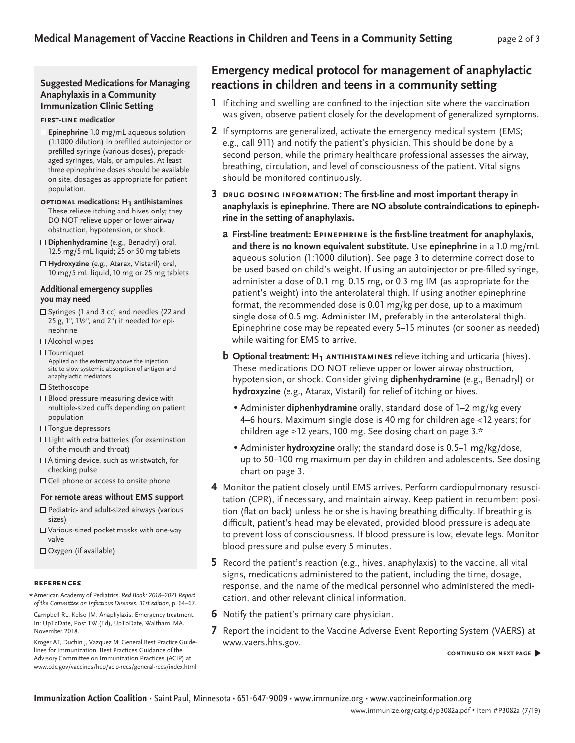## **Suggested Medications for Managing Anaphylaxis in a Community Immunization Clinic Setting**

#### **first-line medication**

- **Epinephrine** 1.0 mg/mL aqueous solution (1:1000 dilution) in prefilled autoinjector or prefilled syringe (various doses), prepackaged syringes, vials, or ampules. At least three epinephrine doses should be available on site, dosages as appropriate for patient population.
- **optional medications: H1 antihistamines** These relieve itching and hives only; they DO NOT relieve upper or lower airway obstruction, hypotension, or shock.

**Diphenhydramine** (e.g., Benadryl) oral, 12.5 mg/5 mL liquid; 25 or 50 mg tablets

**Hydroxyzine** (e.g., Atarax, Vistaril) oral, 10 mg/5 mL liquid, 10 mg or 25 mg tablets

#### **Additional emergency supplies you may need**

- $\Box$  Syringes (1 and 3 cc) and needles (22 and 25 g, 1", 1½", and 2") if needed for epinephrine
- Alcohol wipes
- $\Box$  Tourniquet

Applied on the extremity above the injection site to slow systemic absorption of antigen and anaphylactic mediators

- $\square$  Stethoscope
- $\Box$  Blood pressure measuring device with multiple-sized cuffs depending on patient population
- Tongue depressors
- $\square$  Light with extra batteries (for examination of the mouth and throat)
- A timing device, such as wristwatch, for checking pulse
- $\square$  Cell phone or access to onsite phone

### **For remote areas without EMS support**

- $\Box$  Pediatric- and adult-sized airways (various sizes)
- Various-sized pocket masks with one-way valve

Oxygen (if available)

#### **references**

American Academy of Pediatrics. *Red Book: 2018–2021 Report*  \**of the Committee on Infectious Diseases. 31st edition,* p. 64–67.

Campbell RL, Kelso JM. Anaphylaxis: Emergency treatment. In: UpToDate, Post TW (Ed), UpToDate, Waltham, MA. November 2018.

Kroger AT, Duchin J, Vazquez M. General Best Practice Guidelines for Immunization. Best Practices Guidance of the Advisory Committee on Immunization Practices (ACIP) at www.cdc.gov/vaccines/hcp/acip-recs/general-recs/index.html

# **Emergency medical protocol for management of anaphylactic reactions in children and teens in a community setting**

- **1** If itching and swelling are confined to the injection site where the vaccination was given, observe patient closely for the development of generalized symptoms.
- **2** If symptoms are generalized, activate the emergency medical system (EMS; e.g., call 911) and notify the patient's physician. This should be done by a second person, while the primary healthcare professional assesses the airway, breathing, circulation, and level of consciousness of the patient. Vital signs should be monitored continuously.
- **3 drug dosing information: The first-line and most important therapy in anaphylaxis is epinephrine. There are NO absolute contraindications to epinephrine in the setting of anaphylaxis.** 
	- **a First-line treatment: Epinephrine is the first-line treatment for anaphylaxis, and there is no known equivalent substitute.** Use **epinephrine** in a 1.0 mg/mL aqueous solution (1:1000 dilution). See page 3 to determine correct dose to be used based on child's weight. If using an autoinjector or pre-filled syringe, administer a dose of 0.1 mg, 0.15 mg, or 0.3 mg IM (as appropriate for the patient's weight) into the anterolateral thigh. If using another epinephrine format, the recommended dose is 0.01 mg/kg per dose, up to a maximum single dose of 0.5 mg. Administer IM, preferably in the anterolateral thigh. Epinephrine dose may be repeated every 5–15 minutes (or sooner as needed) while waiting for EMS to arrive.
	- **b Optional treatment: H<sub>1</sub> ANTIHISTAMINES** relieve itching and urticaria (hives). These medications DO NOT relieve upper or lower airway obstruction, hypotension, or shock. Consider giving **diphenhydramine** (e.g., Benadryl) or **hydroxyzine** (e.g., Atarax, Vistaril) for relief of itching or hives.
		- Administer **diphenhydramine** orally, standard dose of 1–2 mg/kg every 4–6 hours. Maximum single dose is 40 mg for children age <12 years; for children age ≥12 years, 100 mg. See dosing chart on page 3.\*
		- Administer **hydroxyzine** orally; the standard dose is 0.5–1 mg/kg/dose, up to 50–100 mg maximum per day in children and adolescents. See dosing chart on page 3.
- **4** Monitor the patient closely until EMS arrives. Perform cardiopulmonary resuscitation (CPR), if necessary, and maintain airway. Keep patient in recumbent position (flat on back) unless he or she is having breathing difficulty. If breathing is difficult, patient's head may be elevated, provided blood pressure is adequate to prevent loss of consciousness. If blood pressure is low, elevate legs. Monitor blood pressure and pulse every 5 minutes.
- **5** Record the patient's reaction (e.g., hives, anaphylaxis) to the vaccine, all vital signs, medications administered to the patient, including the time, dosage, response, and the name of the medical personnel who administered the medication, and other relevant clinical information.
- **6** Notify the patient's primary care physician.
- **7** Report the incident to the Vaccine Adverse Event Reporting System (VAERS) at [www.vaers.hhs.gov](http://www.vaers.hhs.gov).

**continued on next page** �